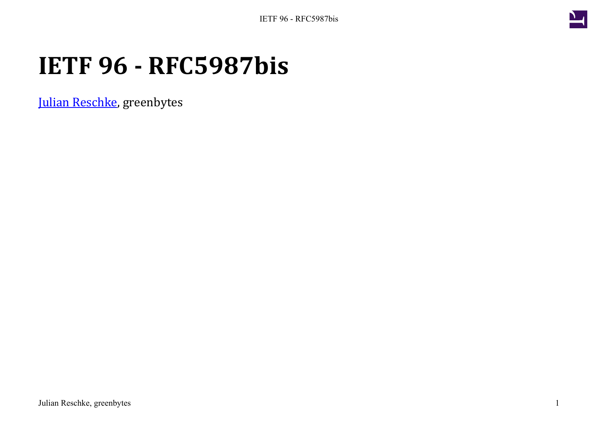

# **IETF 96 - RFC5987bis**

[Julian Reschke](mailto:julian.reschke@greenbytes.de), greenbytes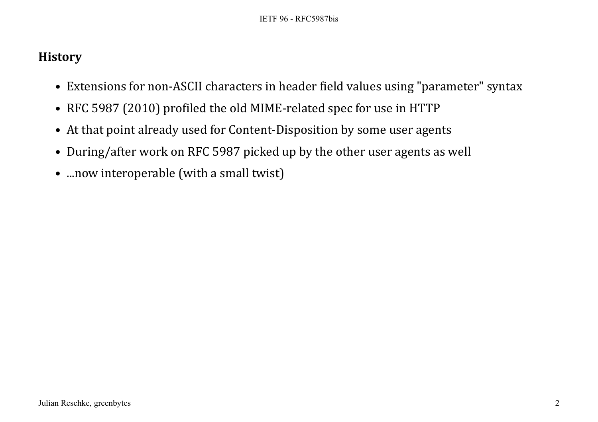### **History**

- Extensions for non-ASCII characters in header field values using "parameter" syntax
- RFC 5987 (2010) profiled the old MIME-related spec for use in HTTP
- At that point already used for Content-Disposition by some user agents
- During/after work on RFC 5987 picked up by the other user agents as well
- ...now interoperable (with a small twist)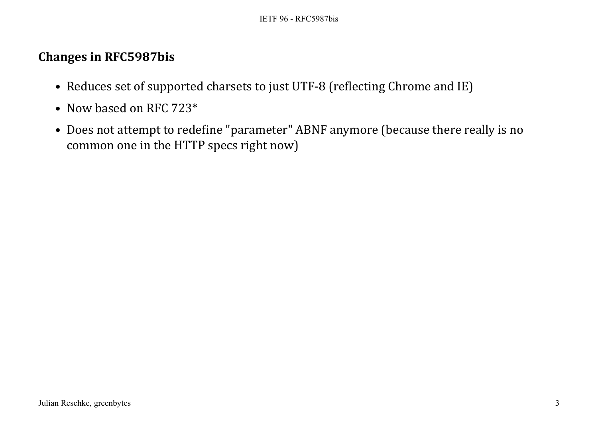### **Changes in RFC5987bis**

- Reduces set of supported charsets to just UTF-8 (reflecting Chrome and IE)
- Now based on RFC 723\*
- Does not attempt to redefine "parameter" ABNF anymore (because there really is no common one in the HTTP specs right now)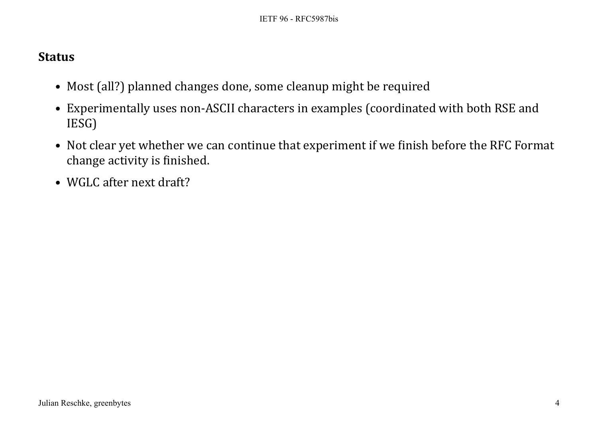#### **Status**

- Most (all?) planned changes done, some cleanup might be required
- Experimentally uses non-ASCII characters in examples (coordinated with both RSE and IESG)
- Not clear yet whether we can continue that experiment if we finish before the RFC Format change activity is finished.
- WGLC after next draft?